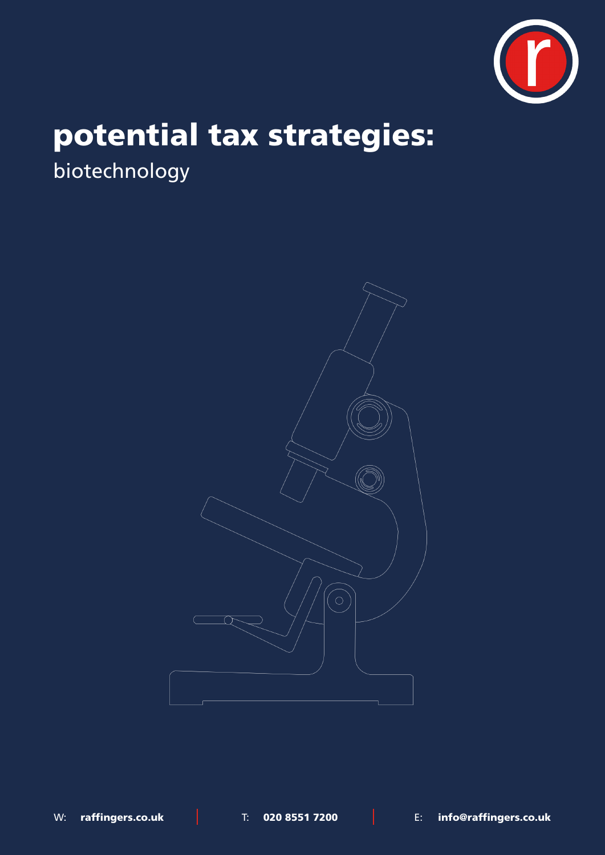

# potential tax strategies:

biotechnology



W: raffingers.co.uk | T: 020 8551 7200 | E: info@raffingers.co.uk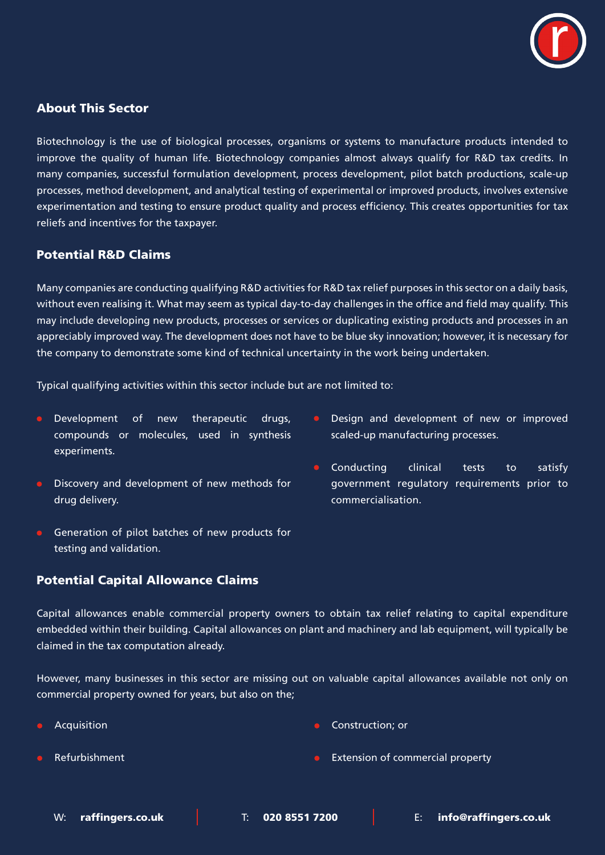

## About This Sector

Biotechnology is the use of biological processes, organisms or systems to manufacture products intended to improve the quality of human life. Biotechnology companies almost always qualify for R&D tax credits. In many companies, successful formulation development, process development, pilot batch productions, scale-up processes, method development, and analytical testing of experimental or improved products, involves extensive experimentation and testing to ensure product quality and process efficiency. This creates opportunities for tax reliefs and incentives for the taxpayer.

#### Potential R&D Claims

Many companies are conducting qualifying R&D activities for R&D tax relief purposes in this sector on a daily basis, without even realising it. What may seem as typical day-to-day challenges in the office and field may qualify. This may include developing new products, processes or services or duplicating existing products and processes in an appreciably improved way. The development does not have to be blue sky innovation; however, it is necessary for the company to demonstrate some kind of technical uncertainty in the work being undertaken.

Typical qualifying activities within this sector include but are not limited to:

- **•** Development of new therapeutic drugs, compounds or molecules, used in synthesis experiments.
- **•** Discovery and development of new methods for drug delivery.
- Generation of pilot batches of new products for testing and validation.
	-
- Potential Capital Allowance Claims
- Design and development of new or improved scaled-up manufacturing processes.
- Conducting clinical tests to satisfy government regulatory requirements prior to commercialisation.

Capital allowances enable commercial property owners to obtain tax relief relating to capital expenditure embedded within their building. Capital allowances on plant and machinery and lab equipment, will typically be claimed in the tax computation already.

However, many businesses in this sector are missing out on valuable capital allowances available not only on commercial property owned for years, but also on the;

Acquisition

Construction; or

Refurbishment

Extension of commercial property